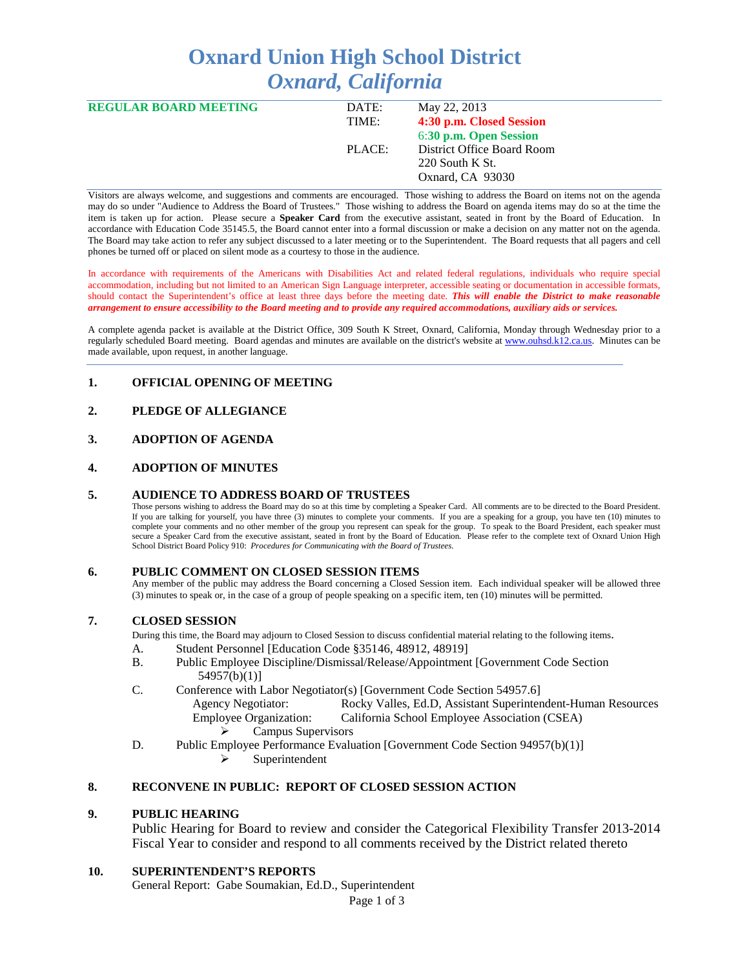# **Oxnard Union High School District** *Oxnard, California*

| <b>REGULAR BOARD MEETING</b> | DATE:  | May 22, 2013               |  |
|------------------------------|--------|----------------------------|--|
|                              | TIME:  | 4:30 p.m. Closed Session   |  |
|                              |        | 6:30 p.m. Open Session     |  |
|                              | PLACE: | District Office Board Room |  |
|                              |        | $220$ South K St.          |  |
|                              |        | Oxnard, CA 93030           |  |
|                              |        |                            |  |

Visitors are always welcome, and suggestions and comments are encouraged. Those wishing to address the Board on items not on the agenda may do so under "Audience to Address the Board of Trustees." Those wishing to address the Board on agenda items may do so at the time the item is taken up for action. Please secure a **Speaker Card** from the executive assistant, seated in front by the Board of Education. In accordance with Education Code 35145.5, the Board cannot enter into a formal discussion or make a decision on any matter not on the agenda. The Board may take action to refer any subject discussed to a later meeting or to the Superintendent. The Board requests that all pagers and cell phones be turned off or placed on silent mode as a courtesy to those in the audience.

In accordance with requirements of the Americans with Disabilities Act and related federal regulations, individuals who require special accommodation, including but not limited to an American Sign Language interpreter, accessible seating or documentation in accessible formats, should contact the Superintendent's office at least three days before the meeting date. *This will enable the District to make reasonable arrangement to ensure accessibility to the Board meeting and to provide any required accommodations, auxiliary aids or services.* 

A complete agenda packet is available at the District Office, 309 South K Street, Oxnard, California, Monday through Wednesday prior to a regularly scheduled Board meeting. Board agendas and minutes are available on the district's website at [www.ouhsd.k12.ca.us.](http://www.ouhsd.k12.ca.us/)Minutes can be made available, upon request, in another language.

## **1. OFFICIAL OPENING OF MEETING**

## **2. PLEDGE OF ALLEGIANCE**

## **3. ADOPTION OF AGENDA**

## **4. ADOPTION OF MINUTES**

#### **5. AUDIENCE TO ADDRESS BOARD OF TRUSTEES**

Those persons wishing to address the Board may do so at this time by completing a Speaker Card. All comments are to be directed to the Board President. If you are talking for yourself, you have three (3) minutes to complete your comments. If you are a speaking for a group, you have ten (10) minutes to complete your comments and no other member of the group you represent can speak for the group. To speak to the Board President, each speaker must secure a Speaker Card from the executive assistant, seated in front by the Board of Education. Please refer to the complete text of Oxnard Union High School District Board Policy 910: *Procedures for Communicating with the Board of Trustees.*

#### **6. PUBLIC COMMENT ON CLOSED SESSION ITEMS**

Any member of the public may address the Board concerning a Closed Session item. Each individual speaker will be allowed three (3) minutes to speak or, in the case of a group of people speaking on a specific item, ten (10) minutes will be permitted.

#### **7. CLOSED SESSION**

During this time, the Board may adjourn to Closed Session to discuss confidential material relating to the following items.

- A. Student Personnel [Education Code §35146, 48912, 48919]
- B. Public Employee Discipline/Dismissal/Release/Appointment [Government Code Section 54957(b)(1)]
- C. Conference with Labor Negotiator(s) [Government Code Section 54957.6]
	- Agency Negotiator: Rocky Valles, Ed.D, Assistant Superintendent-Human Resources<br>Employee Organization: California School Employee Association (CSEA) California School Employee Association (CSEA)
		- - Campus Supervisors
- D. Public Employee Performance Evaluation [Government Code Section 94957(b)(1)]

#### Superintendent

# **8. RECONVENE IN PUBLIC: REPORT OF CLOSED SESSION ACTION**

## **9. PUBLIC HEARING**

Public Hearing for Board to review and consider the Categorical Flexibility Transfer 2013-2014 Fiscal Year to consider and respond to all comments received by the District related thereto

## **10. SUPERINTENDENT'S REPORTS**

General Report: Gabe Soumakian, Ed.D., Superintendent

Page 1 of 3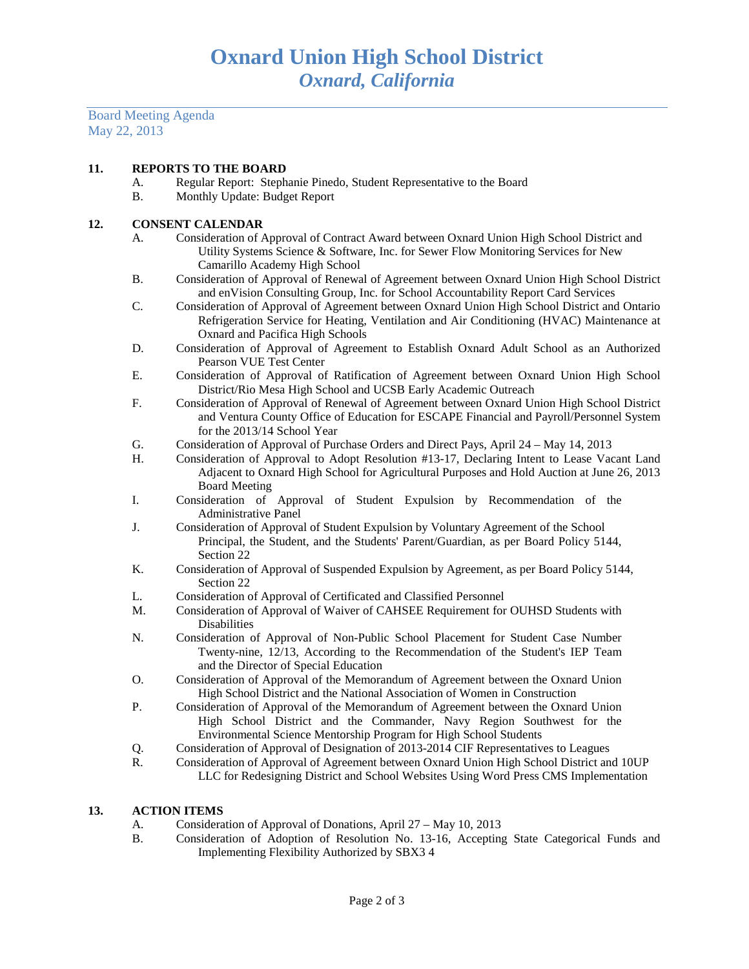Board Meeting Agenda May 22, 2013

## **11. REPORTS TO THE BOARD**

- A. Regular Report: Stephanie Pinedo, Student Representative to the Board
- B. Monthly Update: Budget Report

# **12. CONSENT CALENDAR**

- A. Consideration of Approval of Contract Award between Oxnard Union High School District and Utility Systems Science & Software, Inc. for Sewer Flow Monitoring Services for New Camarillo Academy High School
- B. Consideration of Approval of Renewal of Agreement between Oxnard Union High School District and enVision Consulting Group, Inc. for School Accountability Report Card Services
- C. Consideration of Approval of Agreement between Oxnard Union High School District and Ontario Refrigeration Service for Heating, Ventilation and Air Conditioning (HVAC) Maintenance at Oxnard and Pacifica High Schools
- D. Consideration of Approval of Agreement to Establish Oxnard Adult School as an Authorized Pearson VUE Test Center
- E. Consideration of Approval of Ratification of Agreement between Oxnard Union High School District/Rio Mesa High School and UCSB Early Academic Outreach
- F. Consideration of Approval of Renewal of Agreement between Oxnard Union High School District and Ventura County Office of Education for ESCAPE Financial and Payroll/Personnel System for the 2013/14 School Year
- G. Consideration of Approval of Purchase Orders and Direct Pays, April 24 May 14, 2013
- H. Consideration of Approval to Adopt Resolution #13-17, Declaring Intent to Lease Vacant Land Adjacent to Oxnard High School for Agricultural Purposes and Hold Auction at June 26, 2013 Board Meeting
- I. Consideration of Approval of Student Expulsion by Recommendation of the Administrative Panel
- J. Consideration of Approval of Student Expulsion by Voluntary Agreement of the School Principal, the Student, and the Students' Parent/Guardian, as per Board Policy 5144, Section 22
- K. Consideration of Approval of Suspended Expulsion by Agreement, as per Board Policy 5144, Section 22
- L. Consideration of Approval of Certificated and Classified Personnel
- M. Consideration of Approval of Waiver of CAHSEE Requirement for OUHSD Students with Disabilities
- N. Consideration of Approval of Non-Public School Placement for Student Case Number Twenty-nine, 12/13, According to the Recommendation of the Student's IEP Team and the Director of Special Education
- O. Consideration of Approval of the Memorandum of Agreement between the Oxnard Union High School District and the National Association of Women in Construction
- P. Consideration of Approval of the Memorandum of Agreement between the Oxnard Union High School District and the Commander, Navy Region Southwest for the Environmental Science Mentorship Program for High School Students
- Q. Consideration of Approval of Designation of 2013-2014 CIF Representatives to Leagues
- R. Consideration of Approval of Agreement between Oxnard Union High School District and 10UP LLC for Redesigning District and School Websites Using Word Press CMS Implementation

## **13. ACTION ITEMS**

- A. Consideration of Approval of Donations, April 27 May 10, 2013
- B. Consideration of Adoption of Resolution No. 13-16, Accepting State Categorical Funds and Implementing Flexibility Authorized by SBX3 4